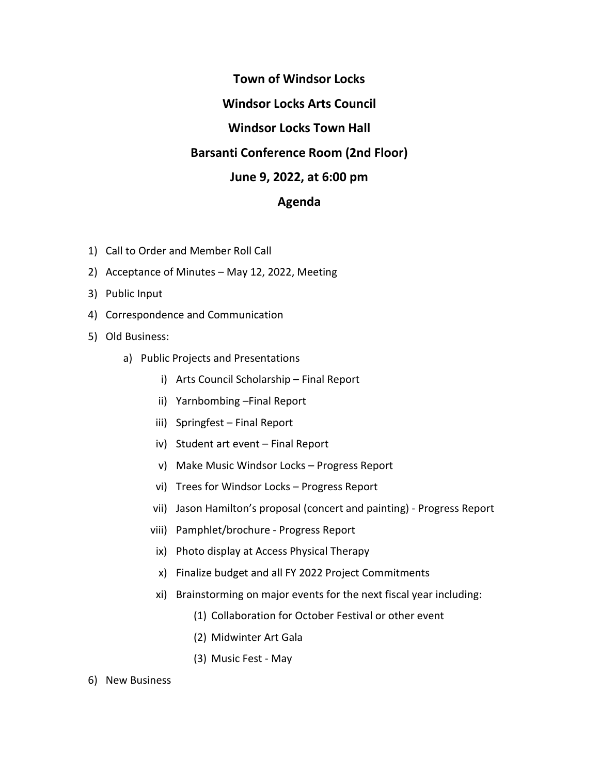## **Town of Windsor Locks Windsor Locks Arts Council Windsor Locks Town Hall Barsanti Conference Room (2nd Floor) June 9, 2022, at 6:00 pm Agenda**

- 1) Call to Order and Member Roll Call
- 2) Acceptance of Minutes May 12, 2022, Meeting
- 3) Public Input
- 4) Correspondence and Communication
- 5) Old Business:
	- a) Public Projects and Presentations
		- i) Arts Council Scholarship Final Report
		- ii) Yarnbombing –Final Report
		- iii) Springfest Final Report
		- iv) Student art event Final Report
		- v) Make Music Windsor Locks Progress Report
		- vi) Trees for Windsor Locks Progress Report
		- vii) Jason Hamilton's proposal (concert and painting) Progress Report
		- viii) Pamphlet/brochure Progress Report
		- ix) Photo display at Access Physical Therapy
		- x) Finalize budget and all FY 2022 Project Commitments
		- xi) Brainstorming on major events for the next fiscal year including:
			- (1) Collaboration for October Festival or other event
			- (2) Midwinter Art Gala
			- (3) Music Fest May
- 6) New Business